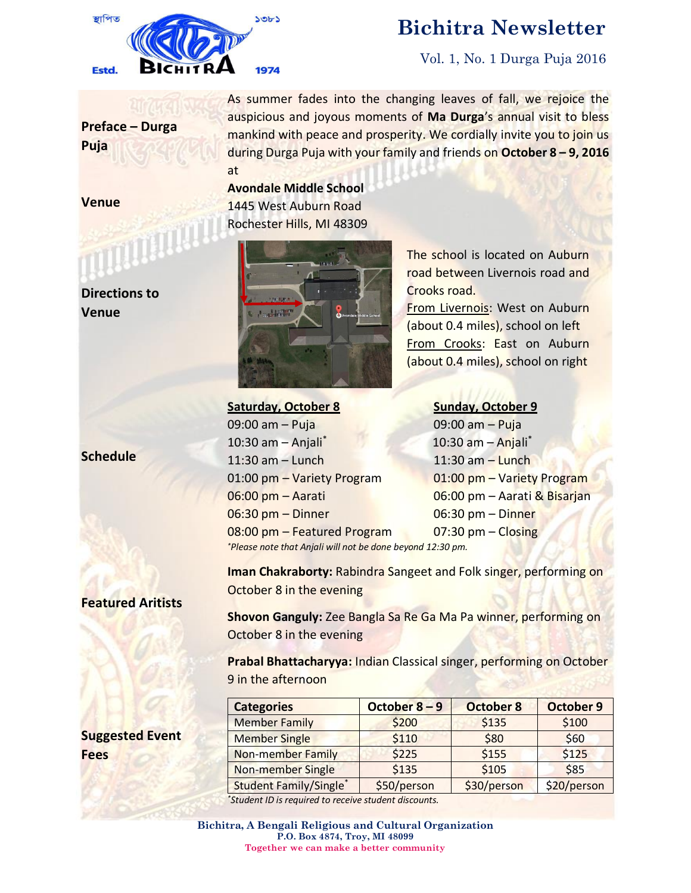

# **Bichitra Newsletter**

Vol. 1, No. 1 Durga Puja 2016

**Preface – Durga Puja**

As summer fades into the changing leaves of fall, we rejoice the auspicious and joyous moments of **Ma Durga**'s annual visit to bless mankind with peace and prosperity. We cordially invite you to join us during Durga Puja with your family and friends on **October 8 – 9, 2016** at

**Avondale Middle School** 1445 West Auburn Road Rochester Hills, MI 48309



The school is located on Auburn road between Livernois road and Crooks road.

From Livernois: West on Auburn (about 0.4 miles), school on left From Crooks: East on Auburn (about 0.4 miles), school on right

## **Saturday, October 8 Sunday, October 9**

09:00 am – Puja 09:00 am – Puja 10:30 am – Anjali\* 10:30 am – Anjali\* 11:30 am – Lunch 11:30 am – Lunch 01:00 pm – Variety Program 01:00 pm – Variety Program 06:00 pm – Aarati 06:00 pm – Aarati & Bisarjan 06:30 pm – Dinner 06:30 pm – Dinner 08:00 pm – Featured Program 07:30 pm – Closing *\*Please note that Anjali will not be done beyond 12:30 pm.*

**Featured Aritists**

**Suggested Event** 

**Fees**

**Iman Chakraborty:** Rabindra Sangeet and Folk singer, performing on October 8 in the evening

**Shovon Ganguly:** Zee Bangla Sa Re Ga Ma Pa winner, performing on October 8 in the evening

**Prabal Bhattacharyya:** Indian Classical singer, performing on October 9 in the afternoon

| <b>Categories</b>             | October 8-9 | <b>October 8</b> | <b>October 9</b> |
|-------------------------------|-------------|------------------|------------------|
| <b>Member Family</b>          | \$200       | \$135            | \$100            |
| <b>Member Single</b>          | \$110       | \$80             | \$60             |
| <b>Non-member Family</b>      | \$225       | \$155            | \$125            |
| Non-member Single             | \$135       | \$105            | \$85             |
| <b>Student Family/Single*</b> | \$50/person | \$30/person      | \$20/person      |

*\*Student ID is required to receive student discounts.*

## **Venue**

**Venue**

**Schedule**